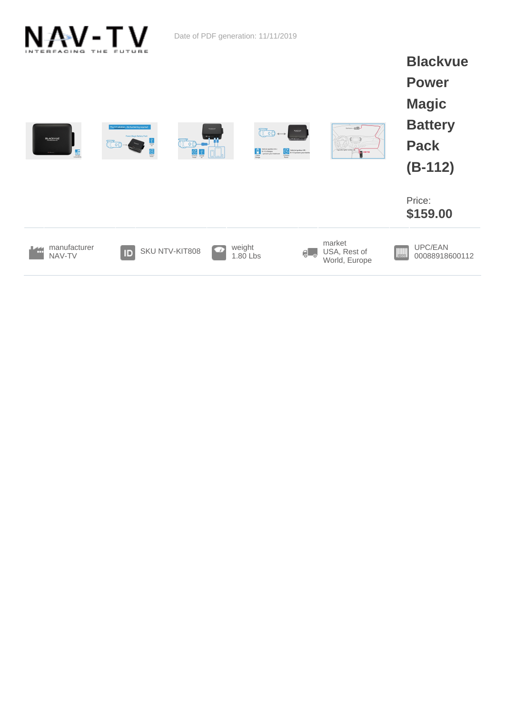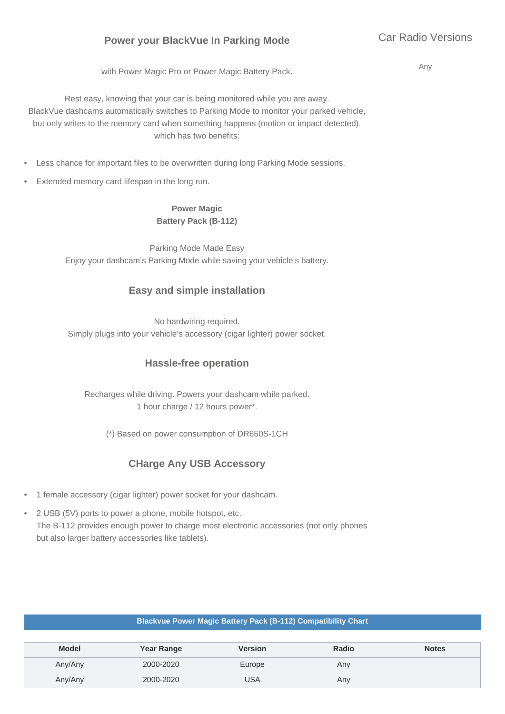# **Power your BlackVue In Parking Mode**

with Power Magic Pro or Power Magic Battery Pack.

Rest easy, knowing that your car is being monitored while you are away. BlackVue dashcams automatically switches to Parking Mode to monitor your parked vehicle, but only writes to the memory card when something happens (motion or impact detected), which has two benefits:

- Less chance for important files to be overwritten during long Parking Mode sessions.
- Extended memory card lifespan in the long run.

### **Power Magic Battery Pack (B-112)**

Parking Mode Made Easy Enjoy your dashcam's Parking Mode while saving your vehicle's battery.

## **Easy and simple installation**

No hardwiring required. Simply plugs into your vehicle's accessory (cigar lighter) power socket.

### **Hassle-free operation**

Recharges while driving. Powers your dashcam while parked. 1 hour charge / 12 hours power\*.

(\*) Based on power consumption of DR650S-1CH

## **CHarge Any USB Accessory**

- 1 female accessory (cigar lighter) power socket for your dashcam.
- 2 USB (5V) ports to power a phone, mobile hotspot, etc. The B-112 provides enough power to charge most electronic accessories (not only phones but also larger battery accessories like tablets).

#### **Blackvue Power Magic Battery Pack (B-112) Compatibility Chart**

| <b>Model</b> | <b>Year Range</b> | <b>Version</b> | Radio | <b>Notes</b> |
|--------------|-------------------|----------------|-------|--------------|
| Any/Any      | 2000-2020         | Europe         | Any   |              |
| Any/Any      | 2000-2020         | USA            | Any   |              |

Any